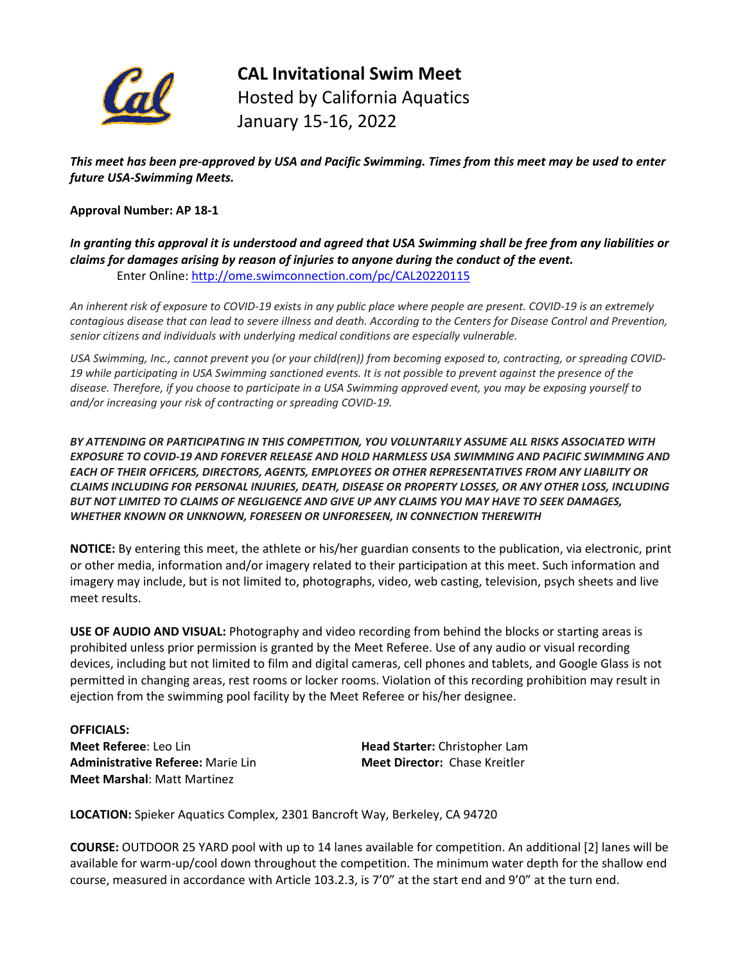

**CAL Invitational Swim Meet** Hosted by California Aquatics January 15‐16, 2022

This meet has been pre-approved by USA and Pacific Swimming. Times from this meet may be used to enter *future USA‐Swimming Meets.* 

#### **Approval Number: AP 18‐1**

In granting this approval it is understood and agreed that USA Swimming shall be free from any liabilities or *claims for damages arising by reason of injuries to anyone during the conduct of the event.* Enter Online: [http://ome.swimconnection.com/pc/CAL20220115](http://ome.swimconnection.com/pc/CAL20150117)

An inherent risk of exposure to COVID-19 exists in any public place where people are present. COVID-19 is an extremely contagious disease that can lead to severe illness and death. According to the Centers for Disease Control and Prevention, *senior citizens and individuals with underlying medical conditions are especially vulnerable.*

USA Swimming, Inc., cannot prevent you (or your child(ren)) from becoming exposed to, contracting, or spreading COVID-19 while participating in USA Swimming sanctioned events. It is not possible to prevent against the presence of the disease. Therefore, if you choose to participate in a USA Swimming approved event, you may be exposing yourself to *and/or increasing your risk of contracting or spreading COVID‐19.*

*BY ATTENDING OR PARTICIPATING IN THIS COMPETITION, YOU VOLUNTARILY ASSUME ALL RISKS ASSOCIATED WITH EXPOSURE TO COVID‐19 AND FOREVER RELEASE AND HOLD HARMLESS USA SWIMMING AND PACIFIC SWIMMING AND EACH OF THEIR OFFICERS, DIRECTORS, AGENTS, EMPLOYEES OR OTHER REPRESENTATIVES FROM ANY LIABILITY OR CLAIMS INCLUDING FOR PERSONAL INJURIES, DEATH, DISEASE OR PROPERTY LOSSES, OR ANY OTHER LOSS, INCLUDING BUT NOT LIMITED TO CLAIMS OF NEGLIGENCE AND GIVE UP ANY CLAIMS YOU MAY HAVE TO SEEK DAMAGES, WHETHER KNOWN OR UNKNOWN, FORESEEN OR UNFORESEEN, IN CONNECTION THEREWITH*

**NOTICE:** By entering this meet, the athlete or his/her guardian consents to the publication, via electronic, print or other media, information and/or imagery related to their participation at this meet. Such information and imagery may include, but is not limited to, photographs, video, web casting, television, psych sheets and live meet results.

**USE OF AUDIO AND VISUAL:** Photography and video recording from behind the blocks or starting areas is prohibited unless prior permission is granted by the Meet Referee. Use of any audio or visual recording devices, including but not limited to film and digital cameras, cell phones and tablets, and Google Glass is not permitted in changing areas, rest rooms or locker rooms. Violation of this recording prohibition may result in ejection from the swimming pool facility by the Meet Referee or his/her designee.

**OFFICIALS: Meet Referee**: Leo Lin **Head Starter:** Christopher Lam **Administrative Referee:** Marie Lin **Meet Director:** Chase Kreitler **Meet Marshal**: Matt Martinez

**LOCATION:** Spieker Aquatics Complex, 2301 Bancroft Way, Berkeley, CA 94720

**COURSE:** OUTDOOR 25 YARD pool with up to 14 lanes available for competition. An additional [2] lanes will be available for warm-up/cool down throughout the competition. The minimum water depth for the shallow end course, measured in accordance with Article 103.2.3, is 7'0" at the start end and 9'0" at the turn end.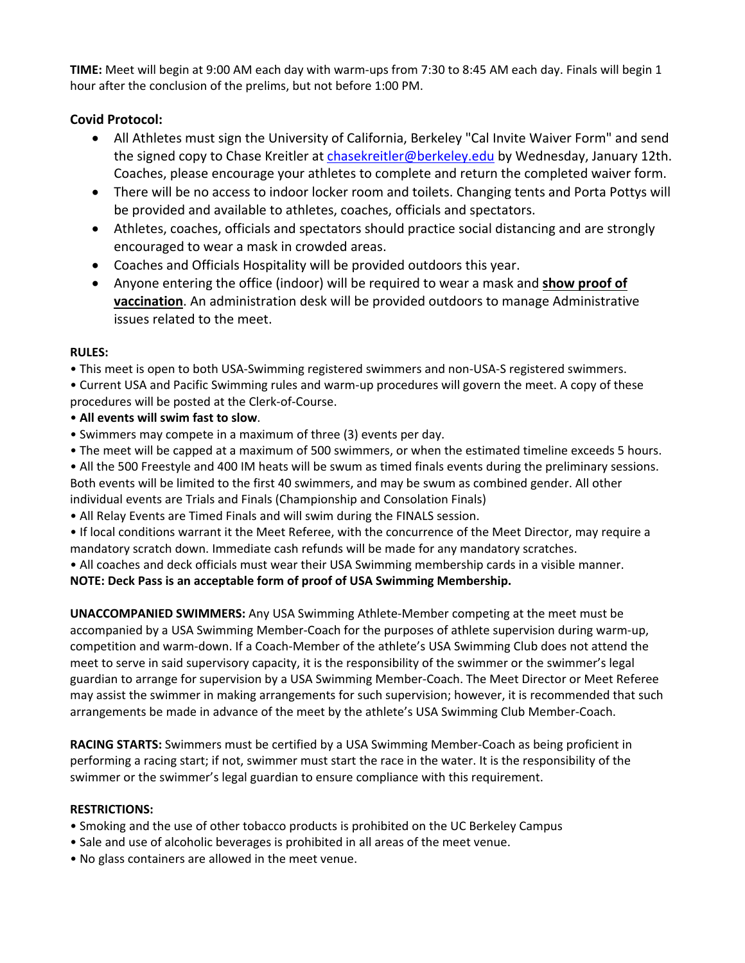**TIME:** Meet will begin at 9:00 AM each day with warm‐ups from 7:30 to 8:45 AM each day. Finals will begin 1 hour after the conclusion of the prelims, but not before 1:00 PM.

### **Covid Protocol:**

- All Athletes must sign the University of California, Berkeley "Cal Invite Waiver Form" and send the signed copy to Chase Kreitler at [chasekreitler@berkeley.edu](mailto:chasekreitler@berkeley.edu) by Wednesday, January 12th. Coaches, please encourage your athletes to complete and return the completed waiver form.
- There will be no access to indoor locker room and toilets. Changing tents and Porta Pottys will be provided and available to athletes, coaches, officials and spectators.
- Athletes, coaches, officials and spectators should practice social distancing and are strongly encouraged to wear a mask in crowded areas.
- Coaches and Officials Hospitality will be provided outdoors this year.
- Anyone entering the office (indoor) will be required to wear a mask and **show proof of vaccination**. An administration desk will be provided outdoors to manage Administrative issues related to the meet.

### **RULES:**

• This meet is open to both USA‐Swimming registered swimmers and non‐USA‐S registered swimmers.

- Current USA and Pacific Swimming rules and warm‐up procedures will govern the meet. A copy of these procedures will be posted at the Clerk‐of‐Course.
- **All events will swim fast to slow**.
- Swimmers may compete in a maximum of three (3) events per day.
- The meet will be capped at a maximum of 500 swimmers, or when the estimated timeline exceeds 5 hours.

• All the 500 Freestyle and 400 IM heats will be swum as timed finals events during the preliminary sessions. Both events will be limited to the first 40 swimmers, and may be swum as combined gender. All other individual events are Trials and Finals (Championship and Consolation Finals)

• All Relay Events are Timed Finals and will swim during the FINALS session.

• If local conditions warrant it the Meet Referee, with the concurrence of the Meet Director, may require a mandatory scratch down. Immediate cash refunds will be made for any mandatory scratches.

• All coaches and deck officials must wear their USA Swimming membership cards in a visible manner.

### **NOTE: Deck Pass is an acceptable form of proof of USA Swimming Membership.**

**UNACCOMPANIED SWIMMERS:** Any USA Swimming Athlete‐Member competing at the meet must be accompanied by a USA Swimming Member‐Coach for the purposes of athlete supervision during warm‐up, competition and warm‐down. If a Coach‐Member of the athlete's USA Swimming Club does not attend the meet to serve in said supervisory capacity, it is the responsibility of the swimmer or the swimmer's legal guardian to arrange for supervision by a USA Swimming Member‐Coach. The Meet Director or Meet Referee may assist the swimmer in making arrangements for such supervision; however, it is recommended that such arrangements be made in advance of the meet by the athlete's USA Swimming Club Member‐Coach.

**RACING STARTS:** Swimmers must be certified by a USA Swimming Member‐Coach as being proficient in performing a racing start; if not, swimmer must start the race in the water. It is the responsibility of the swimmer or the swimmer's legal guardian to ensure compliance with this requirement.

### **RESTRICTIONS:**

- Smoking and the use of other tobacco products is prohibited on the UC Berkeley Campus
- Sale and use of alcoholic beverages is prohibited in all areas of the meet venue.
- No glass containers are allowed in the meet venue.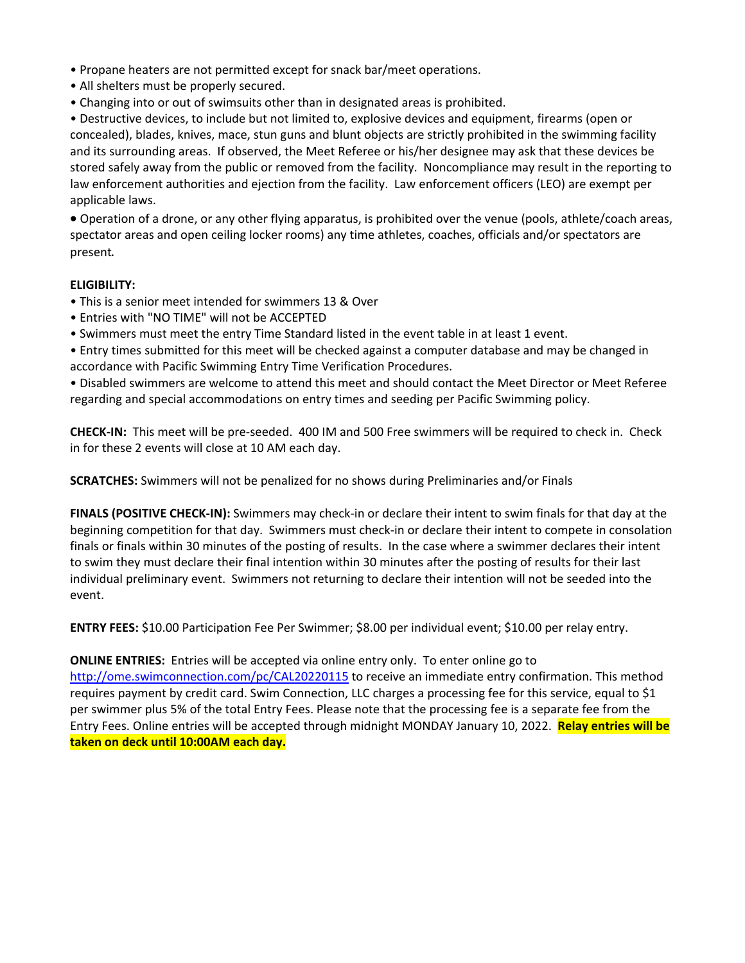- Propane heaters are not permitted except for snack bar/meet operations.
- All shelters must be properly secured.
- Changing into or out of swimsuits other than in designated areas is prohibited.

• Destructive devices, to include but not limited to, explosive devices and equipment, firearms (open or concealed), blades, knives, mace, stun guns and blunt objects are strictly prohibited in the swimming facility and its surrounding areas. If observed, the Meet Referee or his/her designee may ask that these devices be stored safely away from the public or removed from the facility. Noncompliance may result in the reporting to law enforcement authorities and ejection from the facility. Law enforcement officers (LEO) are exempt per applicable laws. 

 Operation of a drone, or any other flying apparatus, is prohibited over the venue (pools, athlete/coach areas, spectator areas and open ceiling locker rooms) any time athletes, coaches, officials and/or spectators are present.

#### **ELIGIBILITY:**

- This is a senior meet intended for swimmers 13 & Over
- Entries with "NO TIME" will not be ACCEPTED
- Swimmers must meet the entry Time Standard listed in the event table in at least 1 event.

• Entry times submitted for this meet will be checked against a computer database and may be changed in accordance with Pacific Swimming Entry Time Verification Procedures.

• Disabled swimmers are welcome to attend this meet and should contact the Meet Director or Meet Referee regarding and special accommodations on entry times and seeding per Pacific Swimming policy.

**CHECK‐IN:** This meet will be pre‐seeded. 400 IM and 500 Free swimmers will be required to check in. Check in for these 2 events will close at 10 AM each day.

**SCRATCHES:** Swimmers will not be penalized for no shows during Preliminaries and/or Finals

**FINALS (POSITIVE CHECK‐IN):** Swimmers may check‐in or declare their intent to swim finals for that day at the beginning competition for that day. Swimmers must check‐in or declare their intent to compete in consolation finals or finals within 30 minutes of the posting of results. In the case where a swimmer declares their intent to swim they must declare their final intention within 30 minutes after the posting of results for their last individual preliminary event. Swimmers not returning to declare their intention will not be seeded into the event.

**ENTRY FEES:** \$10.00 Participation Fee Per Swimmer; \$8.00 per individual event; \$10.00 per relay entry.

**ONLINE ENTRIES:** Entries will be accepted via online entry only. To enter online go to [http://ome.swimconnection.com/pc/CAL20220115](http://ome.swimconnection.com/pc/CAL20150117) to receive an immediate entry confirmation. This method requires payment by credit card. Swim Connection, LLC charges a processing fee for this service, equal to \$1 per swimmer plus 5% of the total Entry Fees. Please note that the processing fee is a separate fee from the Entry Fees. Online entries will be accepted through midnight MONDAY January 10, 2022. **Relay entries will be taken on deck until 10:00AM each day.**